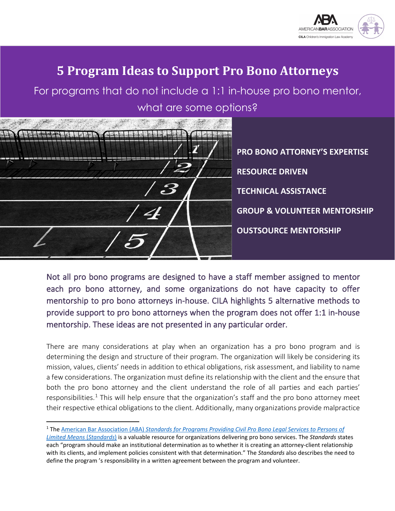

# **5 Program Ideas to Support Pro Bono Attorneys**

For programs that do not include a 1:1 in-house pro bono mentor, what are some options?

|  |              | <b>PRC</b> |
|--|--------------|------------|
|  |              | <b>RES</b> |
|  |              | <b>TEC</b> |
|  | $\mathbf{B}$ | <b>GRC</b> |
|  |              | <b>OUS</b> |
|  |              |            |

**BONO ATTORNEY'S EXPERTISE** *OURCE DRIVEN* **TECHNICAL ASSISTANCE GROUP & VOLUNTEER MENTORSHIP STSOURCE MENTORSHIP** 

Not all pro bono programs are designed to have a staff member assigned to mentor each pro bono attorney, and some organizations do not have capacity to offer mentorship to pro bono attorneys in-house. CILA highlights 5 alternative methods to provide support to pro bono attorneys when the program does not offer 1:1 in-house mentorship. These ideas are not presented in any particular order.

There are many considerations at play when an organization has a pro bono program and is determining the design and structure of their program. The organization will likely be considering its mission, values, clients' needs in addition to ethical obligations, risk assessment, and liability to name a few considerations. The organization must define its relationship with the client and the ensure that both the pro bono attorney and the client understand the role of all parties and each parties' responsibilities.<sup>[1](#page-0-0)</sup> This will help ensure that the organization's staff and the pro bono attorney meet their respective ethical obligations to the client. Additionally, many organizations provide malpractice

<span id="page-0-0"></span><sup>1</sup> The American Bar Association (ABA) *[Standards for Programs Providing Civil Pro Bono Legal Services to Persons of](https://www.americanbar.org/products/inv/book/138457183/)* 

*[Limited Means](https://www.americanbar.org/products/inv/book/138457183/)* (*Standards*) is a valuable resource for organizations delivering pro bono services. The *Standards* states each "program should make an institutional determination as to whether it is creating an attorney-client relationship with its clients, and implement policies consistent with that determination." The *Standards* also describes the need to define the program 's responsibility in a written agreement between the program and volunteer.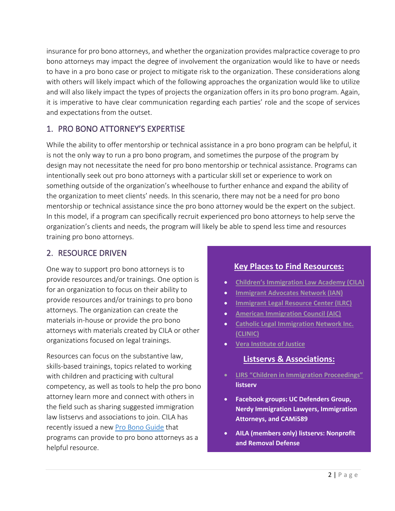insurance for pro bono attorneys, and whether the organization provides malpractice coverage to pro bono attorneys may impact the degree of involvement the organization would like to have or needs to have in a pro bono case or project to mitigate risk to the organization. These considerations along with others will likely impact which of the following approaches the organization would like to utilize and will also likely impact the types of projects the organization offers in its pro bono program. Again, it is imperative to have clear communication regarding each parties' role and the scope of services and expectations from the outset.

## 1. PRO BONO ATTORNEY'S EXPERTISE

While the ability to offer mentorship or technical assistance in a pro bono program can be helpful, it is not the only way to run a pro bono program, and sometimes the purpose of the program by design may not necessitate the need for pro bono mentorship or technical assistance. Programs can intentionally seek out pro bono attorneys with a particular skill set or experience to work on something outside of the organization's wheelhouse to further enhance and expand the ability of the organization to meet clients' needs. In this scenario, there may not be a need for pro bono mentorship or technical assistance since the pro bono attorney would be the expert on the subject. In this model, if a program can specifically recruit experienced pro bono attorneys to help serve the organization's clients and needs, the program will likely be able to spend less time and resources training pro bono attorneys.

## 2. RESOURCE DRIVEN

One way to support pro bono attorneys is to provide resources and/or trainings. One option is for an organization to focus on their ability to provide resources and/or trainings to pro bono attorneys. The organization can create the materials in-house or provide the pro bono attorneys with materials created by CILA or other organizations focused on legal trainings.

Resources can focus on the substantive law, skills-based trainings, topics related to working with children and practicing with cultural competency, as well as tools to help the pro bono attorney learn more and connect with others in the field such as sharing suggested immigration law listservs and associations to join. CILA has recently issued a new [Pro Bono Guide](http://www.cilacademy.org/wp-content/uploads/2020/08/CILA-Rept-Final-Web.pdf) that programs can provide to pro bono attorneys as a helpful resource.

#### **Key Places to Find Resources:**

- **[Children's Immigration Law Academy \(CILA\)](http://www.cilacademy.org/)**
- **[Immigrant Advocates Network \(IAN\)](http://www.immigrationadvocates.org/probono/)**
- **[Immigrant Legal Resource Center \(ILRC\)](http://www.ilrc.org/)**
- **[American Immigration Council \(AIC\)](http://www.americanimmigrationcouncil.org/)**
- **[Catholic Legal Immigration Network Inc.](https://cliniclegal.org/)  [\(CLINIC\)](https://cliniclegal.org/)**
- **[Vera Institute of Justice](http://www.vera.org/securing-equal-justice/supporting-immigrants)**

#### **Listservs & Associations:**

- **[LIRS "Children in Immigration Proceedings"](http://lists.lirs.org/mailman/listinfo/childimmigration) listserv**
- **Facebook groups: UC Defenders Group, Nerdy Immigration Lawyers, Immigration Attorneys, and CAMi589**
- **AILA (members only) listservs: Nonprofit and Removal Defense**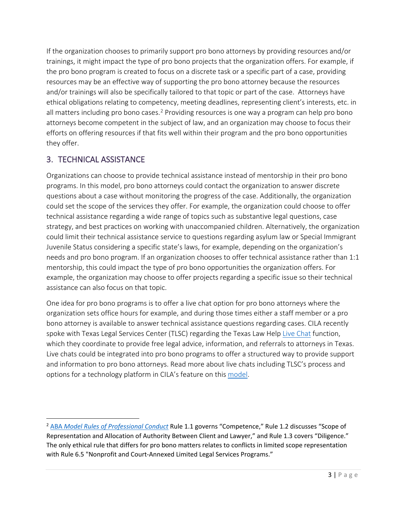If the organization chooses to primarily support pro bono attorneys by providing resources and/or trainings, it might impact the type of pro bono projects that the organization offers. For example, if the pro bono program is created to focus on a discrete task or a specific part of a case, providing resources may be an effective way of supporting the pro bono attorney because the resources and/or trainings will also be specifically tailored to that topic or part of the case. Attorneys have ethical obligations relating to competency, meeting deadlines, representing client's interests, etc. in all matters including pro bono cases.<sup>[2](#page-2-0)</sup> Providing resources is one way a program can help pro bono attorneys become competent in the subject of law, and an organization may choose to focus their efforts on offering resources if that fits well within their program and the pro bono opportunities they offer.

## 3. TECHNICAL ASSISTANCE

Organizations can choose to provide technical assistance instead of mentorship in their pro bono programs. In this model, pro bono attorneys could contact the organization to answer discrete questions about a case without monitoring the progress of the case. Additionally, the organization could set the scope of the services they offer. For example, the organization could choose to offer technical assistance regarding a wide range of topics such as substantive legal questions, case strategy, and best practices on working with unaccompanied children. Alternatively, the organization could limit their technical assistance service to questions regarding asylum law or Special Immigrant Juvenile Status considering a specific state's laws, for example, depending on the organization's needs and pro bono program. If an organization chooses to offer technical assistance rather than 1:1 mentorship, this could impact the type of pro bono opportunities the organization offers. For example, the organization may choose to offer projects regarding a specific issue so their technical assistance can also focus on that topic.

One idea for pro bono programs is to offer a live chat option for pro bono attorneys where the organization sets office hours for example, and during those times either a staff member or a pro bono attorney is available to answer technical assistance questions regarding cases. CILA recently spoke with Texas Legal Services Center (TLSC) regarding the Texas Law Help [Live Chat](https://texaslawhelp.org/node/192) function, which they coordinate to provide free legal advice, information, and referrals to attorneys in Texas. Live chats could be integrated into pro bono programs to offer a structured way to provide support and information to pro bono attorneys. Read more about live chats including TLSC's process and options for a technology platform in CILA's feature on this [model.](http://www.cilacademy.org/wp-content/uploads/2020/09/Texas-Legal-Chat-Summary-08.31.20-FINAL-1.pdf)

<span id="page-2-0"></span><sup>2</sup> ABA *[Model Rules of Professional Conduct](https://www.americanbar.org/groups/professional_responsibility/publications/model_rules_of_professional_conduct/model_rules_of_professional_conduct_table_of_contents/)* Rule 1.1 governs "Competence," Rule 1.2 discusses "Scope of Representation and Allocation of Authority Between Client and Lawyer," and Rule 1.3 covers "Diligence." The only ethical rule that differs for pro bono matters relates to conflicts in limited scope representation with Rule 6.5 "Nonprofit and Court-Annexed Limited Legal Services Programs."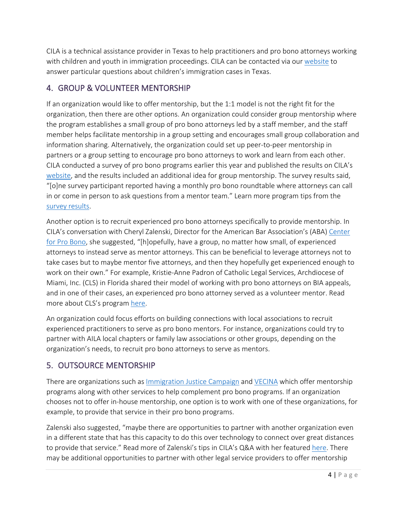CILA is a technical assistance provider in Texas to help practitioners and pro bono attorneys working with children and youth in immigration proceedings. CILA can be contacted via our [website](http://www.cilacademy.org/request-assistance/) to answer particular questions about children's immigration cases in Texas.

# 4. GROUP & VOLUNTEER MENTORSHIP

If an organization would like to offer mentorship, but the 1:1 model is not the right fit for the organization, then there are other options. An organization could consider group mentorship where the program establishes a small group of pro bono attorneys led by a staff member, and the staff member helps facilitate mentorship in a group setting and encourages small group collaboration and information sharing. Alternatively, the organization could set up peer-to-peer mentorship in partners or a group setting to encourage pro bono attorneys to work and learn from each other. CILA conducted a survey of pro bono programs earlier this year and published the results on CILA's [website,](http://www.cilacademy.org/pro-bono/creative-models/) and the results included an additional idea for group mentorship. The survey results said, "[o]ne survey participant reported having a monthly pro bono roundtable where attorneys can call in or come in person to ask questions from a mentor team." Learn more program tips from the [survey results.](http://www.cilacademy.org/wp-content/uploads/2020/06/CILA-Survey-Results-5.22.20.pdf)

Another option is to recruit experienced pro bono attorneys specifically to provide mentorship. In CILA's conversation with Cheryl Zalenski, Director for the American Bar Association's (ABA) [Center](https://www.americanbar.org/groups/center-pro-bono/)  [for Pro Bono,](https://www.americanbar.org/groups/center-pro-bono/) she suggested, "[h]opefully, have a group, no matter how small, of experienced attorneys to instead serve as mentor attorneys. This can be beneficial to leverage attorneys not to take cases but to maybe mentor five attorneys, and then they hopefully get experienced enough to work on their own." For example, Kristie-Anne Padron of Catholic Legal Services, Archdiocese of Miami, Inc. (CLS) in Florida shared their model of working with pro bono attorneys on BIA appeals, and in one of their cases, an experienced pro bono attorney served as a volunteer mentor. Read more about CLS's program [here.](http://www.cilacademy.org/wp-content/uploads/2020/07/Discrete-Part-of-Case-Catholic-Legal-Services-Miami-2-final.pdf)

An organization could focus efforts on building connections with local associations to recruit experienced practitioners to serve as pro bono mentors. For instance, organizations could try to partner with AILA local chapters or family law associations or other groups, depending on the organization's needs, to recruit pro bono attorneys to serve as mentors.

# 5. OUTSOURCE MENTORSHIP

There are organizations such as [Immigration Justice Campaign](https://immigrationjustice.us/our-model/how-we-work/) and [VECINA](https://vecina.org/about-us/) which offer mentorship programs along with other services to help complement pro bono programs. If an organization chooses not to offer in-house mentorship, one option is to work with one of these organizations, for example, to provide that service in their pro bono programs.

Zalenski also suggested, "maybe there are opportunities to partner with another organization even in a different state that has this capacity to do this over technology to connect over great distances to provide that service." Read more of Zalenski's tips in CILA's Q&A with her featured [here.](http://www.cilacademy.org/wp-content/uploads/2020/06/Interview-with-Cheryl-Zalenski-5.21.20-final-cz.pdf) There may be additional opportunities to partner with other legal service providers to offer mentorship